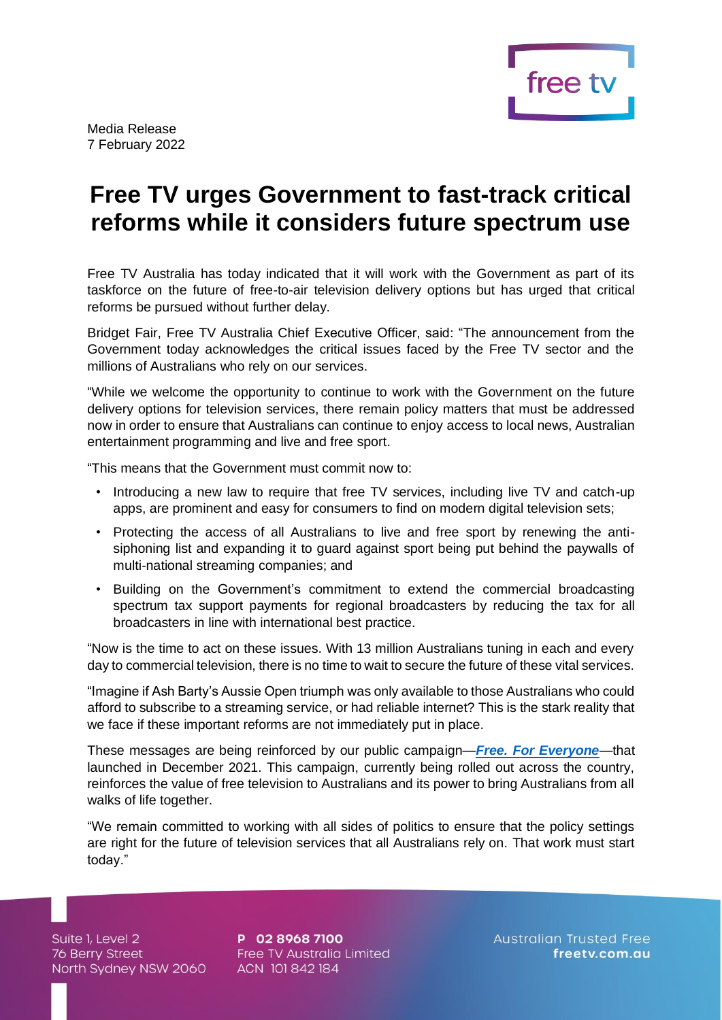

## **Free TV urges Government to fast-track critical reforms while it considers future spectrum use**

Free TV Australia has today indicated that it will work with the Government as part of its taskforce on the future of free-to-air television delivery options but has urged that critical reforms be pursued without further delay.

Bridget Fair, Free TV Australia Chief Executive Officer, said: "The announcement from the Government today acknowledges the critical issues faced by the Free TV sector and the millions of Australians who rely on our services.

"While we welcome the opportunity to continue to work with the Government on the future delivery options for television services, there remain policy matters that must be addressed now in order to ensure that Australians can continue to enjoy access to local news, Australian entertainment programming and live and free sport.

"This means that the Government must commit now to:

- Introducing a new law to require that free TV services, including live TV and catch-up apps, are prominent and easy for consumers to find on modern digital television sets;
- Protecting the access of all Australians to live and free sport by renewing the antisiphoning list and expanding it to guard against sport being put behind the paywalls of multi-national streaming companies; and
- Building on the Government's commitment to extend the commercial broadcasting spectrum tax support payments for regional broadcasters by reducing the tax for all broadcasters in line with international best practice.

"Now is the time to act on these issues. With 13 million Australians tuning in each and every day to commercial television, there is no time to wait to secure the future of these vital services.

"Imagine if Ash Barty's Aussie Open triumph was only available to those Australians who could afford to subscribe to a streaming service, or had reliable internet? This is the stark reality that we face if these important reforms are not immediately put in place.

These messages are being reinforced by our public campaign—*[Free. For Everyone](https://www.freeforeveryone.com.au/)*—that launched in December 2021. This campaign, currently being rolled out across the country, reinforces the value of free television to Australians and its power to bring Australians from all walks of life together.

"We remain committed to working with all sides of politics to ensure that the policy settings are right for the future of television services that all Australians rely on. That work must start today."

Suite 1, Level 2 Suite 1, Level 2<br>76 Berry Street<br>North Sydnov NSW 20 North Sydney NSW 2060

P 02 8968 7100 Free TV Australia Limited ACN 101 842 184

**Australian Trusted Free** freetv.com.au